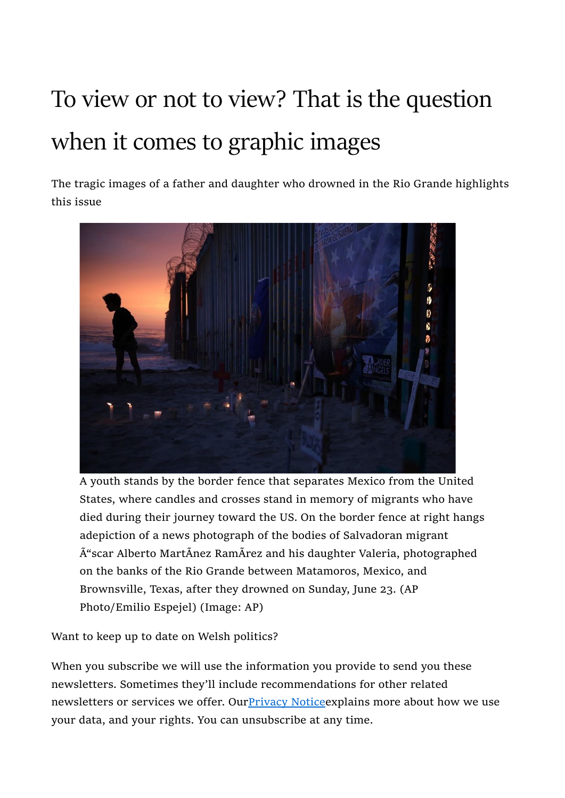## To view or not to view? That is the question when it comes to graphic images

The tragic images of a father and daughter who drowned in the Rio Grande highlights this issue



A youth stands by the border fence that separates Mexico from the United States, where candles and crosses stand in memory of migrants who have died during their journey toward the US. On the border fence at right hangs adepiction of a news photograph of the bodies of Salvadoran migrant  $\tilde{A}$ "scar Alberto MartÃnez RamÃrez and his daughter Valeria, photographed on the banks of the Rio Grande between Matamoros, Mexico, and Brownsville, Texas, after they drowned on Sunday, June 23. (AP Photo/Emilio Espejel) (Image: AP)

Want to keep up to date on Welsh politics?

When you subscribe we will use the information you provide to send you these newsletters. Sometimes they'll include recommendations for other related newsletters or services we offer. Our Privacy Notice explains more about how we use your data, and your rights. You can unsubscribe at any time.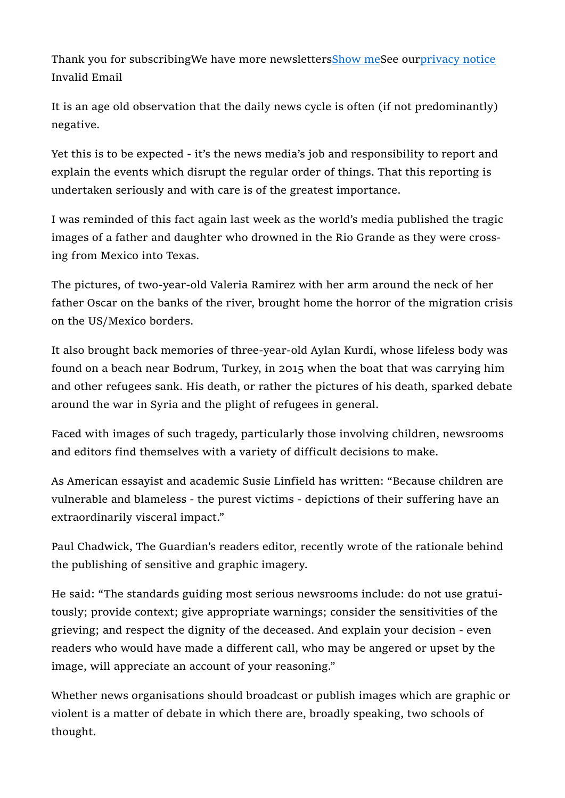Thank you for subscribingWe have more newslettersShow meSee ourprivacy notice Invalid Email

It is an age old observation that the daily news cycle is often (if not predominantly) negative.

Yet this is to be expected - it's the news media's job and responsibility to report and explain the events which disrupt the regular order of things. That this reporting is undertaken seriously and with care is of the greatest importance.

I was reminded of this fact again last week as the world's media published the tragic images of a father and daughter who drowned in the Rio Grande as they were crossing from Mexico into Texas.

The pictures, of two-year-old Valeria Ramirez with her arm around the neck of her father Oscar on the banks of the river, brought home the horror of the migration crisis on the US/Mexico borders.

It also brought back memories of three-year-old Aylan Kurdi, whose lifeless body was found on a beach near Bodrum, Turkey, in 2015 when the boat that was carrying him and other refugees sank. His death, or rather the pictures of his death, sparked debate around the war in Syria and the plight of refugees in general.

Faced with images of such tragedy, particularly those involving children, newsrooms and editors find themselves with a variety of difficult decisions to make.

As American essayist and academic Susie Linfield has written: "Because children are vulnerable and blameless - the purest victims - depictions of their suffering have an extraordinarily visceral impact."

Paul Chadwick, The Guardian's readers editor, recently wrote of the rationale behind the publishing of sensitive and graphic imagery.

He said: "The standards guiding most serious newsrooms include: do not use gratuitously; provide context; give appropriate warnings; consider the sensitivities of the grieving; and respect the dignity of the deceased. And explain your decision - even readers who would have made a different call, who may be angered or upset by the image, will appreciate an account of your reasoning."

Whether news organisations should broadcast or publish images which are graphic or violent is a matter of debate in which there are, broadly speaking, two schools of thought.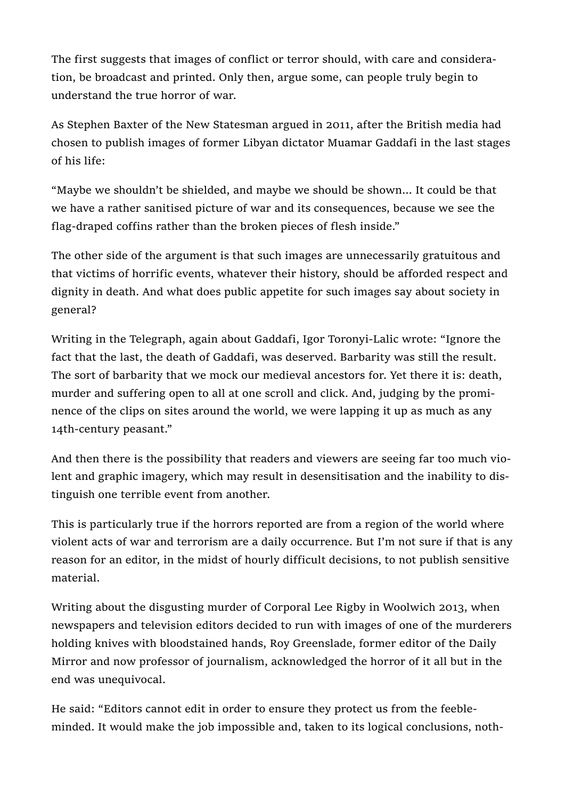The first suggests that images of conflict or terror should, with care and consideration, be broadcast and printed. Only then, argue some, can people truly begin to understand the true horror of war.

As Stephen Baxter of the New Statesman argued in 2011, after the British media had chosen to publish images of former Libyan dictator Muamar Gaddafi in the last stages of his life:

"Maybe we shouldn't be shielded, and maybe we should be shown... It could be that we have a rather sanitised picture of war and its consequences, because we see the flag-draped coffins rather than the broken pieces of flesh inside."

The other side of the argument is that such images are unnecessarily gratuitous and that victims of horrific events, whatever their history, should be afforded respect and dignity in death. And what does public appetite for such images say about society in general?

Writing in the Telegraph, again about Gaddafi, Igor Toronyi-Lalic wrote: "Ignore the fact that the last, the death of Gaddafi, was deserved. Barbarity was still the result. The sort of barbarity that we mock our medieval ancestors for. Yet there it is: death, murder and suffering open to all at one scroll and click. And, judging by the prominence of the clips on sites around the world, we were lapping it up as much as any 14th-century peasant."

And then there is the possibility that readers and viewers are seeing far too much violent and graphic imagery, which may result in desensitisation and the inability to distinguish one terrible event from another.

This is particularly true if the horrors reported are from a region of the world where violent acts of war and terrorism are a daily occurrence. But I'm not sure if that is any reason for an editor, in the midst of hourly difficult decisions, to not publish sensitive material.

Writing about the disgusting murder of Corporal Lee Rigby in Woolwich 2013, when newspapers and television editors decided to run with images of one of the murderers holding knives with bloodstained hands, Roy Greenslade, former editor of the Daily Mirror and now professor of journalism, acknowledged the horror of it all but in the end was unequivocal.

He said: "Editors cannot edit in order to ensure they protect us from the feebleminded. It would make the job impossible and, taken to its logical conclusions, noth